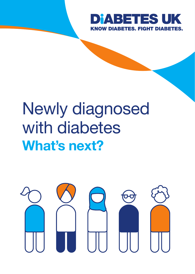

## Newly diagnosed with diabetes What's next?

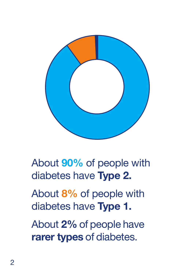

About 90% of people with diabetes have Type 2.

About 8% of people with diabetes have Type 1.

About 2% of people have rarer types of diabetes.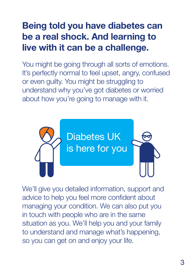### Being told you have diabetes can be a real shock. And learning to live with it can be a challenge.

You might be going through all sorts of emotions. It's perfectly normal to feel upset, angry, confused or even guilty. You might be struggling to understand why you've got diabetes or worried about how you're going to manage with it.



We'll give you detailed information, support and advice to help you feel more confident about managing your condition. We can also put you in touch with people who are in the same situation as you. We'll help you and your family to understand and manage what's happening, so you can get on and enjoy your life.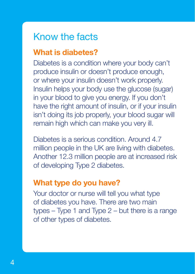### Know the facts

### What is diabetes?

Diabetes is a condition where your body can't produce insulin or doesn't produce enough, or where your insulin doesn't work properly. Insulin helps your body use the glucose (sugar) in your blood to give you energy. If you don't have the right amount of insulin, or if your insulin isn't doing its job properly, your blood sugar will remain high which can make you very ill.

Diabetes is a serious condition. Around 4.7 million people in the UK are living with diabetes. Another 12.3 million people are at increased risk of developing Type 2 diabetes.

### What type do you have?

Your doctor or nurse will tell you what type of diabetes you have. There are two main types – Type 1 and Type 2 – but there is a range of other types of diabetes.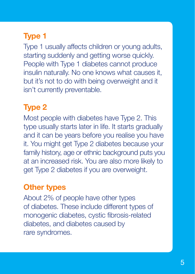### Type 1

Type 1 usually affects children or young adults, starting suddenly and getting worse quickly. People with Type 1 diabetes cannot produce insulin naturally. No one knows what causes it, but it's not to do with being overweight and it isn't currently preventable.

### Type 2

Most people with diabetes have Type 2. This type usually starts later in life. It starts gradually and it can be years before you realise you have it. You might get Type 2 diabetes because your family history, age or ethnic background puts you at an increased risk. You are also more likely to get Type 2 diabetes if you are overweight.

### Other types

About 2% of people have other types of diabetes. These include different types of monogenic diabetes, cystic fibrosis-related diabetes, and diabetes caused by rare syndromes.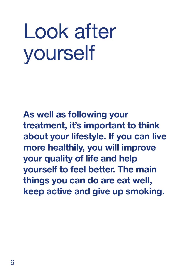## Look after yourself

As well as following your treatment, it's important to think about your lifestyle. If you can live more healthily, you will improve your quality of life and help yourself to feel better. The main things you can do are eat well, keep active and give up smoking.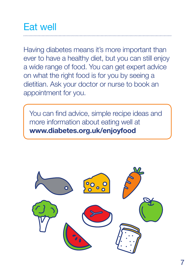### Eat well

Having diabetes means it's more important than ever to have a healthy diet, but you can still enjoy a wide range of food. You can get expert advice on what the right food is for you by seeing a dietitian. Ask your doctor or nurse to book an appointment for you.

You can find advice, simple recipe ideas and more information about eating well at www.diabetes.org.uk/enjoyfood

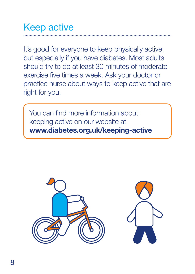## Keep active

It's good for everyone to keep physically active, but especially if you have diabetes. Most adults should try to do at least 30 minutes of moderate exercise five times a week. Ask your doctor or practice nurse about ways to keep active that are right for you.

You can find more information about keeping active on our website at www.diabetes.org.uk/keeping-active

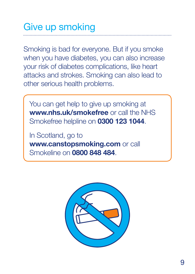## Give up smoking

Smoking is bad for everyone. But if you smoke when you have diabetes, you can also increase your risk of diabetes complications, like heart attacks and strokes. Smoking can also lead to other serious health problems.

You can get help to give up smoking at www.nhs.uk/smokefree or call the NHS Smokefree helpline on 0300 123 1044.

In Scotland, go to www.canstopsmoking.com or call Smokeline on 0800 848 484.

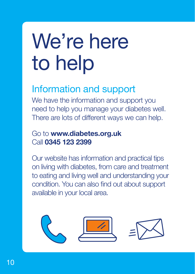# We're here to help

### Information and support

We have the information and support you need to help you manage your diabetes well. There are lots of different ways we can help.

#### Go to www.diabetes.org.uk Call 0345 123 2399

Our website has information and practical tips on living with diabetes, from care and treatment to eating and living well and understanding your condition. You can also find out about support available in your local area.

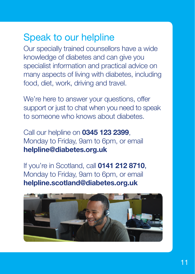### Speak to our helpline

Our specially trained counsellors have a wide knowledge of diabetes and can give you specialist information and practical advice on many aspects of living with diabetes, including food, diet, work, driving and travel.

We're here to answer your questions, offer support or just to chat when you need to speak to someone who knows about diabetes.

Call our helpline on 0345 123 2399, Monday to Friday, 9am to 6pm, or email helpline@diabetes.org.uk

If you're in Scotland, call 0141 212 8710, Monday to Friday, 9am to 6pm, or email helpline.scotland@diabetes.org.uk

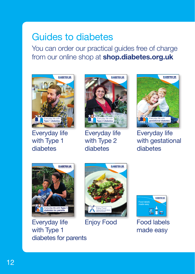## Guides to diabetes

You can order our practical guides free of charge from our online shop at **shop.diabetes.org.uk** 



Everyday life with Type 1 diabetes



Everyday life with Type 2 diabetes



Everyday life with gestational diabetes



Everyday life with Type 1 diabetes for parents





Enjoy Food Food labels made easy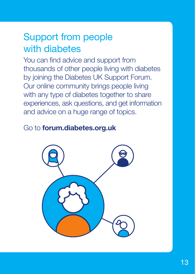### Support from people with diabetes

You can find advice and support from thousands of other people living with diabetes by joining the Diabetes UK Support Forum. Our online community brings people living with any type of diabetes together to share experiences, ask questions, and get information and advice on a huge range of topics.

### Go to forum.diabetes.org.uk

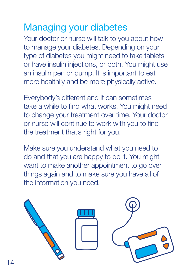## Managing your diabetes

Your doctor or nurse will talk to you about how to manage your diabetes. Depending on your type of diabetes you might need to take tablets or have insulin injections, or both. You might use an insulin pen or pump. It is important to eat more healthily and be more physically active.

Everybody's different and it can sometimes take a while to find what works. You might need to change your treatment over time. Your doctor or nurse will continue to work with you to find the treatment that's right for you.

Make sure you understand what you need to do and that you are happy to do it. You might want to make another appointment to go over things again and to make sure you have all of the information you need.

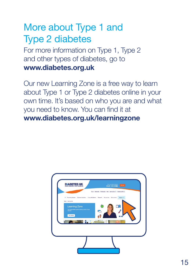### More about Type 1 and Type 2 diabetes

For more information on Type 1, Type 2 and other types of diabetes, go to www.diabetes.org.uk

Our new Learning Zone is a free way to learn about Type 1 or Type 2 diabetes online in your own time. It's based on who you are and what you need to know. You can find it at www.diabetes.org.uk/learningzone